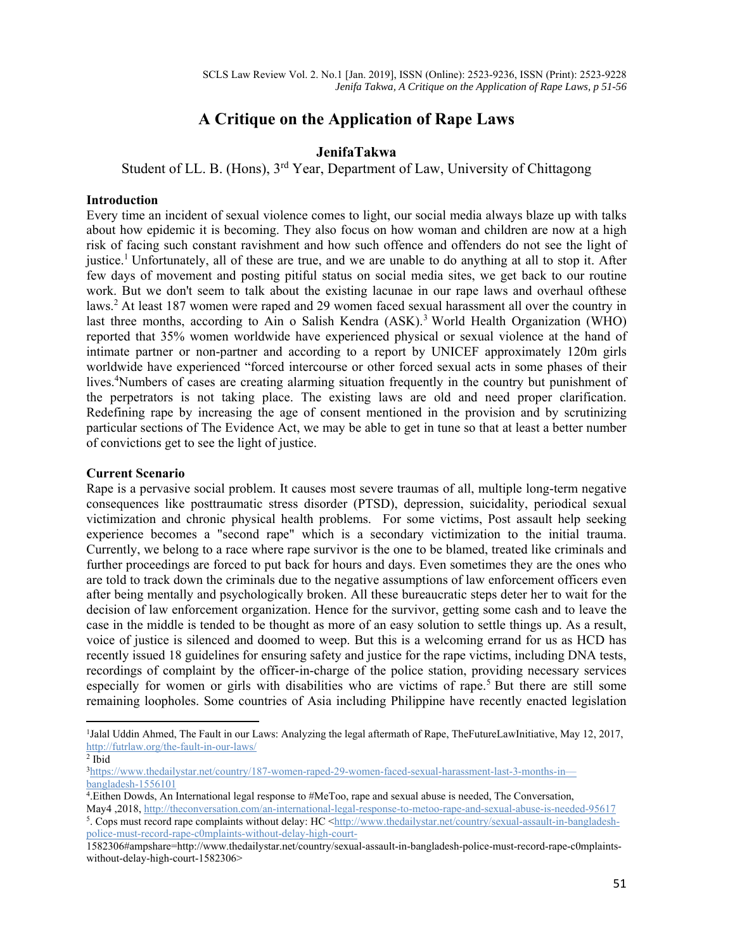# **A Critique on the Application of Rape Laws**

## **JenifaTakwa**

Student of LL. B. (Hons), 3rd Year, Department of Law, University of Chittagong

#### **Introduction**

Every time an incident of sexual violence comes to light, our social media always blaze up with talks about how epidemic it is becoming. They also focus on how woman and children are now at a high risk of facing such constant ravishment and how such offence and offenders do not see the light of justice.<sup>1</sup> Unfortunately, all of these are true, and we are unable to do anything at all to stop it. After few days of movement and posting pitiful status on social media sites, we get back to our routine work. But we don't seem to talk about the existing lacunae in our rape laws and overhaul ofthese laws.<sup>2</sup> At least 187 women were raped and 29 women faced sexual harassment all over the country in last three months, according to Ain o Salish Kendra (ASK).<sup>3</sup> World Health Organization (WHO) reported that 35% women worldwide have experienced physical or sexual violence at the hand of intimate partner or non-partner and according to a report by UNICEF approximately 120m girls worldwide have experienced "forced intercourse or other forced sexual acts in some phases of their lives.<sup>4</sup>Numbers of cases are creating alarming situation frequently in the country but punishment of the perpetrators is not taking place. The existing laws are old and need proper clarification. Redefining rape by increasing the age of consent mentioned in the provision and by scrutinizing particular sections of The Evidence Act, we may be able to get in tune so that at least a better number of convictions get to see the light of justice.

#### **Current Scenario**

Rape is a pervasive social problem. It causes most severe traumas of all, multiple long-term negative consequences like posttraumatic stress disorder (PTSD), depression, suicidality, periodical sexual victimization and chronic physical health problems. For some victims, Post assault help seeking experience becomes a "second rape" which is a secondary victimization to the initial trauma. Currently, we belong to a race where rape survivor is the one to be blamed, treated like criminals and further proceedings are forced to put back for hours and days. Even sometimes they are the ones who are told to track down the criminals due to the negative assumptions of law enforcement officers even after being mentally and psychologically broken. All these bureaucratic steps deter her to wait for the decision of law enforcement organization. Hence for the survivor, getting some cash and to leave the case in the middle is tended to be thought as more of an easy solution to settle things up. As a result, voice of justice is silenced and doomed to weep. But this is a welcoming errand for us as HCD has recently issued 18 guidelines for ensuring safety and justice for the rape victims, including DNA tests, recordings of complaint by the officer-in-charge of the police station, providing necessary services especially for women or girls with disabilities who are victims of rape.<sup>5</sup> But there are still some remaining loopholes. Some countries of Asia including Philippine have recently enacted legislation

May4 ,2018, http://theconversation.com/an-international-legal-response-to-metoo-rape-and-sexual-abuse-is-needed-95617 5. Cops must record rape complaints without delay: HC <http://www.thedailystar.net/country/sexual-assault-in-bangladeshpolice-must-record-rape-c0mplaints-without-delay-high-court-

<sup>&</sup>lt;sup>1</sup>Jalal Uddin Ahmed, The Fault in our Laws: Analyzing the legal aftermath of Rape, TheFutureLawInitiative, May 12, 2017, http://futrlaw.org/the-fault-in-our-laws/

 $2$  Ibid

<sup>3</sup>https://www.thedailystar.net/country/187-women-raped-29-women-faced-sexual-harassment-last-3-months-in bangladesh-1556101

<sup>4.</sup>Eithen Dowds, An International legal response to #MeToo, rape and sexual abuse is needed, The Conversation,

<sup>1582306#</sup>ampshare=http://www.thedailystar.net/country/sexual-assault-in-bangladesh-police-must-record-rape-c0mplaintswithout-delay-high-court-1582306>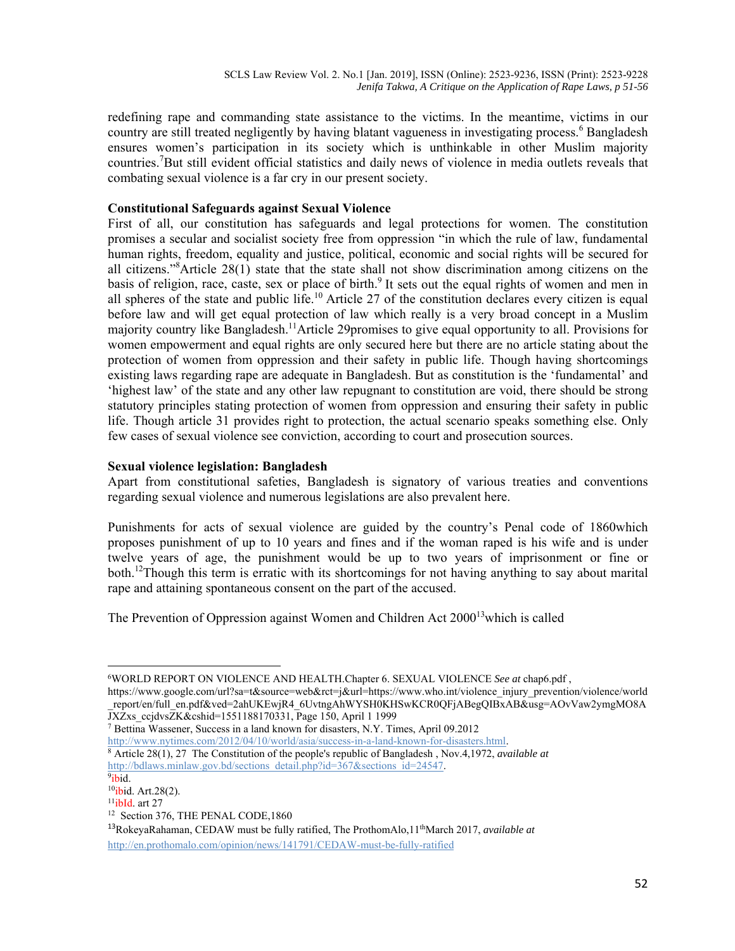redefining rape and commanding state assistance to the victims. In the meantime, victims in our country are still treated negligently by having blatant vagueness in investigating process.<sup>6</sup> Bangladesh ensures women's participation in its society which is unthinkable in other Muslim majority countries.<sup>7</sup>But still evident official statistics and daily news of violence in media outlets reveals that combating sexual violence is a far cry in our present society.

## **Constitutional Safeguards against Sexual Violence**

First of all, our constitution has safeguards and legal protections for women. The constitution promises a secular and socialist society free from oppression "in which the rule of law, fundamental human rights, freedom, equality and justice, political, economic and social rights will be secured for all citizens."<sup>8</sup> Article 28(1) state that the state shall not show discrimination among citizens on the basis of religion, race, caste, sex or place of birth.<sup>9</sup> It sets out the equal rights of women and men in all spheres of the state and public life.<sup>10</sup> Article 27 of the constitution declares every citizen is equal before law and will get equal protection of law which really is a very broad concept in a Muslim majority country like Bangladesh.<sup>11</sup>Article 29promises to give equal opportunity to all. Provisions for women empowerment and equal rights are only secured here but there are no article stating about the protection of women from oppression and their safety in public life. Though having shortcomings existing laws regarding rape are adequate in Bangladesh. But as constitution is the 'fundamental' and 'highest law' of the state and any other law repugnant to constitution are void, there should be strong statutory principles stating protection of women from oppression and ensuring their safety in public life. Though article 31 provides right to protection, the actual scenario speaks something else. Only few cases of sexual violence see conviction, according to court and prosecution sources.

## **Sexual violence legislation: Bangladesh**

Apart from constitutional safeties, Bangladesh is signatory of various treaties and conventions regarding sexual violence and numerous legislations are also prevalent here.

Punishments for acts of sexual violence are guided by the country's Penal code of 1860which proposes punishment of up to 10 years and fines and if the woman raped is his wife and is under twelve years of age, the punishment would be up to two years of imprisonment or fine or both.<sup>12</sup>Though this term is erratic with its shortcomings for not having anything to say about marital rape and attaining spontaneous consent on the part of the accused.

The Prevention of Oppression against Women and Children Act  $2000^{13}$  which is called

https://www.google.com/url?sa=t&source=web&rct=j&url=https://www.who.int/violence\_injury\_prevention/violence/world \_report/en/full\_en.pdf&ved=2ahUKEwjR4\_6UvtngAhWYSH0KHSwKCR0QFjABegQIBxAB&usg=AOvVaw2ymgMO8A<br>JXZxs\_ccjdvsZK&cshid=1551188170331, Page 150, April 1 1999

<sup>7</sup> Bettina Wassener, Success in a land known for disasters, N.Y. Times, April 09.2012<br>http://www.nytimes.com/2012/04/10/world/asia/success-in-a-land-known-for-disasters.html.

<sup>6</sup>WORLD REPORT ON VIOLENCE AND HEALTH.Chapter 6. SEXUAL VIOLENCE *See at* chap6.pdf ,

 $\frac{8}{3}$  Article 28(1), 27 The Constitution of the people's republic of Bangladesh , Nov.4,1972, *available at* http://bdlaws.minlaw.gov.bd/sections\_detail.php?id=367&sections\_id=24547.<br><sup>9</sup>ibid.

<sup>&</sup>lt;sup>10</sup>ibid. Art.28(2).<br><sup>11</sup>ibId. art 27<br><sup>12</sup> Section 376, THE PENAL CODE,1860

<sup>&</sup>lt;sup>13</sup>RokeyaRahaman, CEDAW must be fully ratified, The ProthomAlo, 1<sup>th</sup>March 2017, *available at* http://en.prothomalo.com/opinion/news/141791/CEDAW-must-be-fully-ratified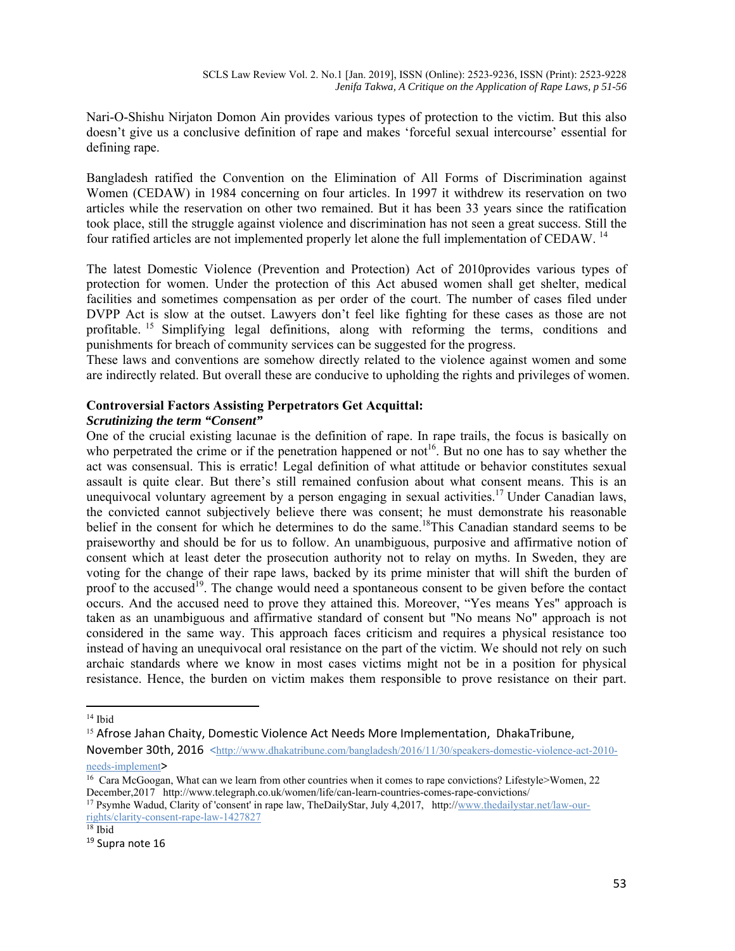Nari-O-Shishu Nirjaton Domon Ain provides various types of protection to the victim. But this also doesn't give us a conclusive definition of rape and makes 'forceful sexual intercourse' essential for defining rape.

Bangladesh ratified the Convention on the Elimination of All Forms of Discrimination against Women (CEDAW) in 1984 concerning on four articles. In 1997 it withdrew its reservation on two articles while the reservation on other two remained. But it has been 33 years since the ratification took place, still the struggle against violence and discrimination has not seen a great success. Still the four ratified articles are not implemented properly let alone the full implementation of CEDAW. 14

The latest Domestic Violence (Prevention and Protection) Act of 2010provides various types of protection for women. Under the protection of this Act abused women shall get shelter, medical facilities and sometimes compensation as per order of the court. The number of cases filed under DVPP Act is slow at the outset. Lawyers don't feel like fighting for these cases as those are not profitable. 15 Simplifying legal definitions, along with reforming the terms, conditions and punishments for breach of community services can be suggested for the progress.

These laws and conventions are somehow directly related to the violence against women and some are indirectly related. But overall these are conducive to upholding the rights and privileges of women.

## **Controversial Factors Assisting Perpetrators Get Acquittal:**

## *Scrutinizing the term "Consent"*

One of the crucial existing lacunae is the definition of rape. In rape trails, the focus is basically on who perpetrated the crime or if the penetration happened or not<sup>16</sup>. But no one has to say whether the act was consensual. This is erratic! Legal definition of what attitude or behavior constitutes sexual assault is quite clear. But there's still remained confusion about what consent means. This is an unequivocal voluntary agreement by a person engaging in sexual activities.<sup>17</sup> Under Canadian laws, the convicted cannot subjectively believe there was consent; he must demonstrate his reasonable belief in the consent for which he determines to do the same.<sup>18</sup>This Canadian standard seems to be praiseworthy and should be for us to follow. An unambiguous, purposive and affirmative notion of consent which at least deter the prosecution authority not to relay on myths. In Sweden, they are voting for the change of their rape laws, backed by its prime minister that will shift the burden of proof to the accused<sup>19</sup>. The change would need a spontaneous consent to be given before the contact occurs. And the accused need to prove they attained this. Moreover, "Yes means Yes" approach is taken as an unambiguous and affirmative standard of consent but "No means No" approach is not considered in the same way. This approach faces criticism and requires a physical resistance too instead of having an unequivocal oral resistance on the part of the victim. We should not rely on such archaic standards where we know in most cases victims might not be in a position for physical resistance. Hence, the burden on victim makes them responsible to prove resistance on their part.

<sup>14</sup> Ibid

<sup>&</sup>lt;sup>15</sup> Afrose Jahan Chaity, Domestic Violence Act Needs More Implementation, DhakaTribune,

November 30th, 2016 <http://www.dhakatribune.com/bangladesh/2016/11/30/speakers-domestic-violence-act-2010needs-implement>

<sup>&</sup>lt;sup>16</sup> Cara McGoogan, What can we learn from other countries when it comes to rape convictions? Lifestyle>Women, 22 December,2017 http://www.telegraph.co.uk/women/life/can-learn-countries-comes-rape-convictions/

<sup>&</sup>lt;sup>17</sup> Psymhe Wadud, Clarity of 'consent' in rape law, TheDailyStar, July 4,2017, http://www.thedailystar.net/law-ourrights/clarity-consent-rape-law-1427827

<sup>18</sup> Ibid

<sup>&</sup>lt;sup>19</sup> Supra note 16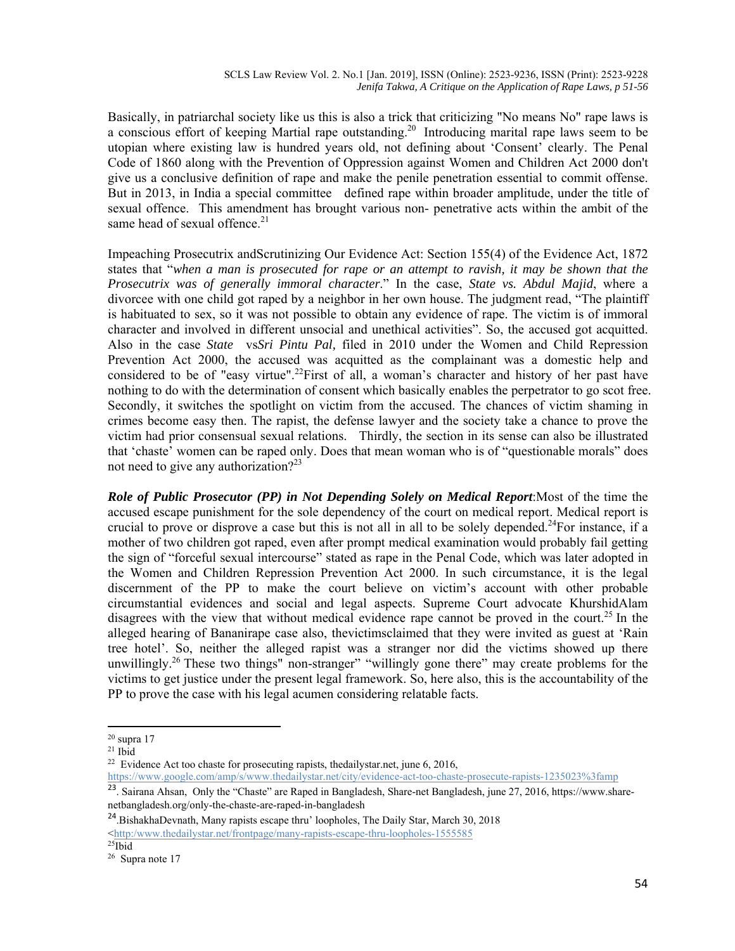Basically, in patriarchal society like us this is also a trick that criticizing "No means No" rape laws is a conscious effort of keeping Martial rape outstanding.<sup>20</sup> Introducing marital rape laws seem to be utopian where existing law is hundred years old, not defining about 'Consent' clearly. The Penal Code of 1860 along with the Prevention of Oppression against Women and Children Act 2000 don't give us a conclusive definition of rape and make the penile penetration essential to commit offense. But in 2013, in India a special committee defined rape within broader amplitude, under the title of sexual offence. This amendment has brought various non- penetrative acts within the ambit of the same head of sexual offence.<sup>21</sup>

Impeaching Prosecutrix andScrutinizing Our Evidence Act: Section 155(4) of the Evidence Act, 1872 states that "*when a man is prosecuted for rape or an attempt to ravish, it may be shown that the Prosecutrix was of generally immoral character*." In the case, *State vs. Abdul Majid*, where a divorcee with one child got raped by a neighbor in her own house. The judgment read, "The plaintiff is habituated to sex, so it was not possible to obtain any evidence of rape. The victim is of immoral character and involved in different unsocial and unethical activities". So, the accused got acquitted. Also in the case *State* vs*Sri Pintu Pal,* filed in 2010 under the Women and Child Repression Prevention Act 2000, the accused was acquitted as the complainant was a domestic help and considered to be of "easy virtue".<sup>22</sup>First of all, a woman's character and history of her past have nothing to do with the determination of consent which basically enables the perpetrator to go scot free. Secondly, it switches the spotlight on victim from the accused. The chances of victim shaming in crimes become easy then. The rapist, the defense lawyer and the society take a chance to prove the victim had prior consensual sexual relations. Thirdly, the section in its sense can also be illustrated that 'chaste' women can be raped only. Does that mean woman who is of "questionable morals" does not need to give any authorization?<sup>23</sup>

*Role of Public Prosecutor (PP) in Not Depending Solely on Medical Report*:Most of the time the accused escape punishment for the sole dependency of the court on medical report. Medical report is crucial to prove or disprove a case but this is not all in all to be solely depended.<sup>24</sup>For instance, if a mother of two children got raped, even after prompt medical examination would probably fail getting the sign of "forceful sexual intercourse" stated as rape in the Penal Code, which was later adopted in the Women and Children Repression Prevention Act 2000. In such circumstance, it is the legal discernment of the PP to make the court believe on victim's account with other probable circumstantial evidences and social and legal aspects. Supreme Court advocate KhurshidAlam disagrees with the view that without medical evidence rape cannot be proved in the court.<sup>25</sup> In the alleged hearing of Bananirape case also, thevictimsclaimed that they were invited as guest at 'Rain tree hotel'. So, neither the alleged rapist was a stranger nor did the victims showed up there unwillingly.<sup>26</sup> These two things" non-stranger" "willingly gone there" may create problems for the victims to get justice under the present legal framework. So, here also, this is the accountability of the PP to prove the case with his legal acumen considering relatable facts.

https://www.google.com/amp/s/www.thedailystar.net/city/evidence-act-too-chaste-prosecute-rapists-1235023%3famp

 $20$  supra 17

 $21$  Ibid

<sup>&</sup>lt;sup>22</sup> Evidence Act too chaste for prosecuting rapists, thedailystar.net, june  $6, 2016$ ,

<sup>&</sup>lt;sup>23</sup>. Sairana Ahsan, Only the "Chaste" are Raped in Bangladesh, Share-net Bangladesh, june 27, 2016, https://www.sharenetbangladesh.org/only-the-chaste-are-raped-in-bangladesh

<sup>24</sup>.BishakhaDevnath, Many rapists escape thru' loopholes, The Daily Star, March 30, 2018  $\frac{\text{thttp://www.thedailystar.net/frontpage/many-rapists-escape-thru-loopholes-1555585}}{25}$ 

<sup>26</sup> Supra note 17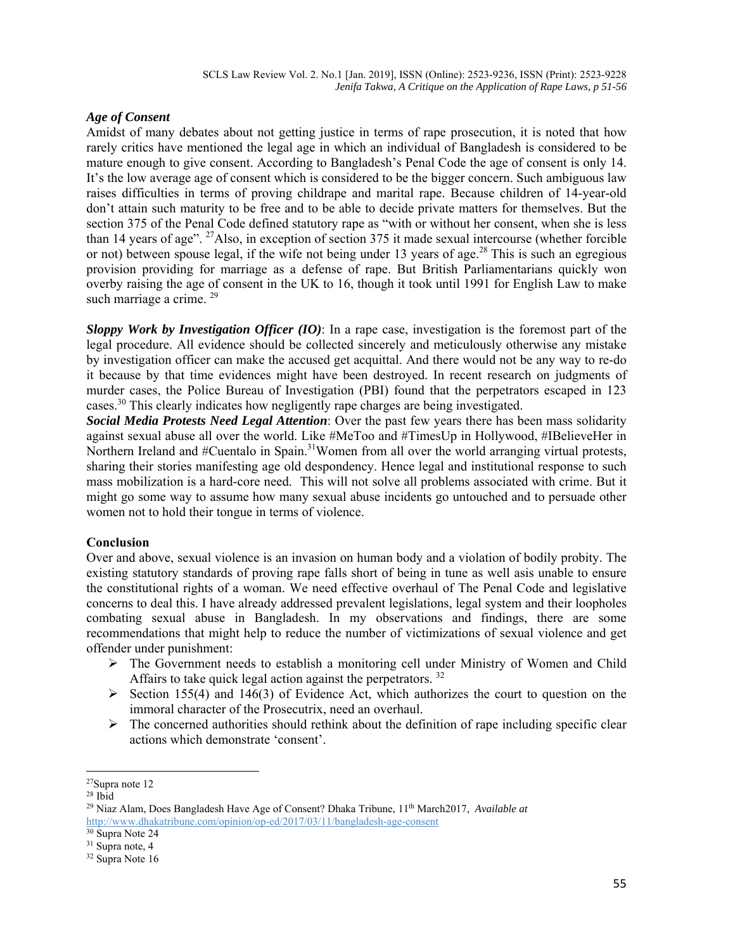## *Age of Consent*

Amidst of many debates about not getting justice in terms of rape prosecution, it is noted that how rarely critics have mentioned the legal age in which an individual of Bangladesh is considered to be mature enough to give consent. According to Bangladesh's Penal Code the age of consent is only 14. It's the low average age of consent which is considered to be the bigger concern. Such ambiguous law raises difficulties in terms of proving childrape and marital rape. Because children of 14-year-old don't attain such maturity to be free and to be able to decide private matters for themselves. But the section 375 of the Penal Code defined statutory rape as "with or without her consent, when she is less than 14 years of age". 27Also, in exception of section 375 it made sexual intercourse (whether forcible or not) between spouse legal, if the wife not being under 13 years of age.<sup>28</sup> This is such an egregious provision providing for marriage as a defense of rape. But British Parliamentarians quickly won overby raising the age of consent in the UK to 16, though it took until 1991 for English Law to make such marriage a crime.<sup>29</sup>

*Sloppy Work by Investigation Officer (IO)*: In a rape case, investigation is the foremost part of the legal procedure. All evidence should be collected sincerely and meticulously otherwise any mistake by investigation officer can make the accused get acquittal. And there would not be any way to re-do it because by that time evidences might have been destroyed. In recent research on judgments of murder cases, the Police Bureau of Investigation (PBI) found that the perpetrators escaped in 123 cases.30 This clearly indicates how negligently rape charges are being investigated.

*Social Media Protests Need Legal Attention*: Over the past few years there has been mass solidarity against sexual abuse all over the world. Like #MeToo and #TimesUp in Hollywood, #IBelieveHer in Northern Ireland and #Cuentalo in Spain.<sup>31</sup>Women from all over the world arranging virtual protests, sharing their stories manifesting age old despondency. Hence legal and institutional response to such mass mobilization is a hard-core need. This will not solve all problems associated with crime. But it might go some way to assume how many sexual abuse incidents go untouched and to persuade other women not to hold their tongue in terms of violence.

## **Conclusion**

Over and above, sexual violence is an invasion on human body and a violation of bodily probity. The existing statutory standards of proving rape falls short of being in tune as well asis unable to ensure the constitutional rights of a woman. We need effective overhaul of The Penal Code and legislative concerns to deal this. I have already addressed prevalent legislations, legal system and their loopholes combating sexual abuse in Bangladesh. In my observations and findings, there are some recommendations that might help to reduce the number of victimizations of sexual violence and get offender under punishment:

- $\triangleright$  The Government needs to establish a monitoring cell under Ministry of Women and Child Affairs to take quick legal action against the perpetrators.<sup>32</sup>
- Section 155(4) and 146(3) of Evidence Act, which authorizes the court to question on the immoral character of the Prosecutrix, need an overhaul.
- $\triangleright$  The concerned authorities should rethink about the definition of rape including specific clear actions which demonstrate 'consent'.

<sup>27</sup>Supra note 12

 $28$  Ibid

<sup>&</sup>lt;sup>29</sup> Niaz Alam, Does Bangladesh Have Age of Consent? Dhaka Tribune, 11<sup>th</sup> March2017, *Available at* http://www.dhakatribune.com/opinion/op-ed/2017/03/11/bangladesh-age-consent

<sup>30</sup> Supra Note 24

<sup>&</sup>lt;sup>31</sup> Supra note, 4

 $32$  Supra Note 16